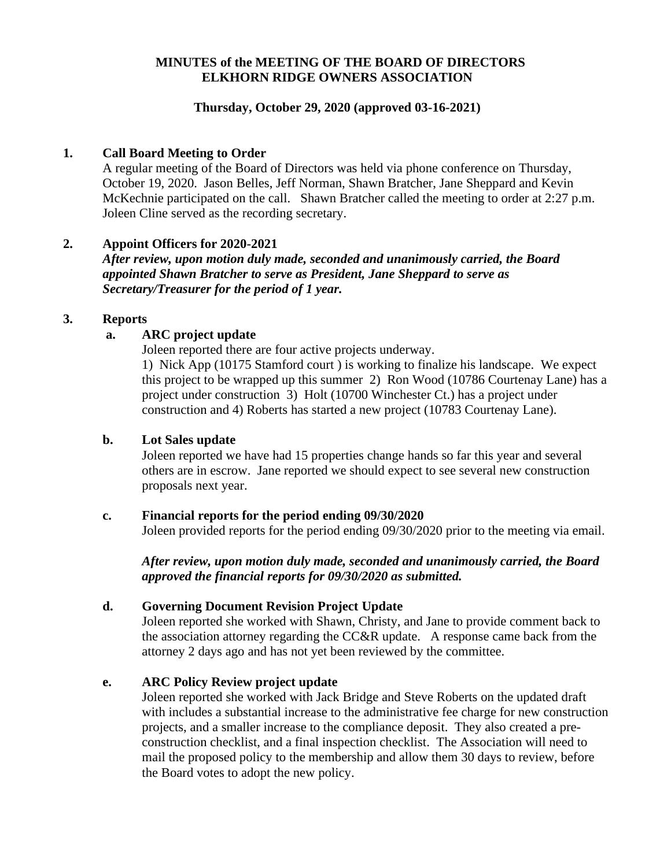## **MINUTES of the MEETING OF THE BOARD OF DIRECTORS ELKHORN RIDGE OWNERS ASSOCIATION**

## **Thursday, October 29, 2020 (approved 03-16-2021)**

### **1. Call Board Meeting to Order**

A regular meeting of the Board of Directors was held via phone conference on Thursday, October 19, 2020. Jason Belles, Jeff Norman, Shawn Bratcher, Jane Sheppard and Kevin McKechnie participated on the call. Shawn Bratcher called the meeting to order at 2:27 p.m. Joleen Cline served as the recording secretary.

## **2. Appoint Officers for 2020-2021**

*After review, upon motion duly made, seconded and unanimously carried, the Board appointed Shawn Bratcher to serve as President, Jane Sheppard to serve as Secretary/Treasurer for the period of 1 year.*

## **3. Reports**

## **a. ARC project update**

Joleen reported there are four active projects underway.

1) Nick App (10175 Stamford court ) is working to finalize his landscape. We expect this project to be wrapped up this summer 2) Ron Wood (10786 Courtenay Lane) has a project under construction 3) Holt (10700 Winchester Ct.) has a project under construction and 4) Roberts has started a new project (10783 Courtenay Lane).

### **b. Lot Sales update**

Joleen reported we have had 15 properties change hands so far this year and several others are in escrow. Jane reported we should expect to see several new construction proposals next year.

#### **c. Financial reports for the period ending 09/30/2020**

Joleen provided reports for the period ending 09/30/2020 prior to the meeting via email.

*After review, upon motion duly made, seconded and unanimously carried, the Board approved the financial reports for 09/30/2020 as submitted.*

#### **d. Governing Document Revision Project Update**

Joleen reported she worked with Shawn, Christy, and Jane to provide comment back to the association attorney regarding the CC&R update. A response came back from the attorney 2 days ago and has not yet been reviewed by the committee.

#### **e. ARC Policy Review project update**

Joleen reported she worked with Jack Bridge and Steve Roberts on the updated draft with includes a substantial increase to the administrative fee charge for new construction projects, and a smaller increase to the compliance deposit. They also created a preconstruction checklist, and a final inspection checklist. The Association will need to mail the proposed policy to the membership and allow them 30 days to review, before the Board votes to adopt the new policy.